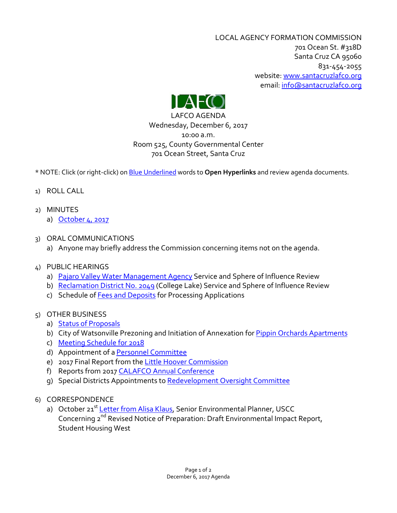LOCAL AGENCY FORMATION COMMISSION 701 Ocean St. #318D Santa Cruz CA 95060 831-454-2055 website: [www.santacruzlafco.org](http://www.santacruzlafco.org/) email[: info@santacruzlafco.org](mailto:info@santacruzlafco.org)



LAFCO AGENDA Wednesday, December 6, 2017 10:00 a.m. Room 525, County Governmental Center 701 Ocean Street, Santa Cruz

\* NOTE: Click (or right-click) on Blue Underlined words to **Open Hyperlinks** and review agenda documents.

- 1) ROLL CALL
- 2) MINUTES
	- a) [October 4, 2017](http://www.santacruzlafco.org/wp-content/uploads/2017/11/10-4-17-Minutes.pdf)
- 3) ORAL COMMUNICATIONS
	- a) Anyone may briefly address the Commission concerning items not on the agenda.
- 4) PUBLIC HEARINGS
	- a) [Pajaro Valley Water Management Agency](http://www.santacruzlafco.org/wp-content/uploads/2017/11/PVWMA-Review-Staff-Report.pdf) Service and Sphere of Influence Review
	- b) [Reclamation District No. 2049](http://www.santacruzlafco.org/wp-content/uploads/2017/11/College-Lake.pdf) (College Lake) Service and Sphere of Influence Review
	- c) Schedule o[f Fees and Deposits](http://www.santacruzlafco.org/wp-content/uploads/2017/11/Fees-Deposits.pdf) for Processing Applications
- 5) OTHER BUSINESS
	- a) [Status of Proposals](http://www.santacruzlafco.org/wp-content/uploads/2017/11/Status-of-Proposals.pdf)
	- b) City of Watsonville Prezoning and Initiation of Annexation for [Pippin Orchards](http://www.santacruzlafco.org/wp-content/uploads/2017/11/Pippin.pdf) Apartments
	- c) [Meeting Schedule for 2018](http://www.santacruzlafco.org/wp-content/uploads/2017/11/2018-Calendar.pdf)
	- d) Appointment of [a Personnel Committee](http://www.santacruzlafco.org/wp-content/uploads/2017/11/Personnel-Committee-1.pdf)
	- e) 2017 Final Report from the [Little Hoover Commission](http://www.santacruzlafco.org/wp-content/uploads/2017/11/Little-Hoover-Commission.pdf)
	- f) Reports from 2017 [CALAFCO Annual Conference](http://www.santacruzlafco.org/wp-content/uploads/2017/11/Conference-Report.pdf)
	- g) Special Districts Appointments to [Redevelopment Oversight Committee](http://www.santacruzlafco.org/wp-content/uploads/2017/11/Oversight-Board.pdf)
- 6) CORRESPONDENCE
	- a) October 21<sup>st</sup> [Letter from Alisa Klaus,](http://www.santacruzlafco.org/wp-content/uploads/2017/11/Letter-re-UCSC-Draft-EIR.pdf) Senior Environmental Planner, USCC Concerning 2<sup>nd</sup> Revised Notice of Preparation: Draft Environmental Impact Report, Student Housing West